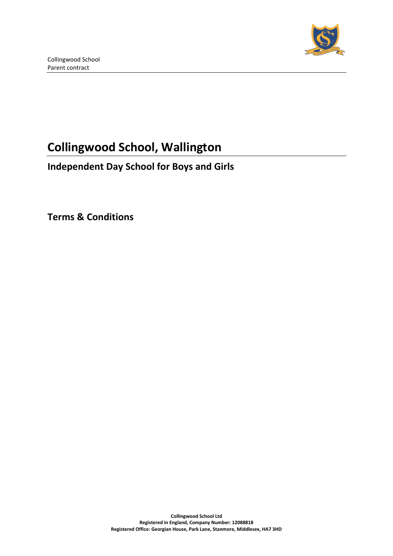

# **Collingwood School, Wallington**

# **Independent Day School for Boys and Girls**

**Terms & Conditions**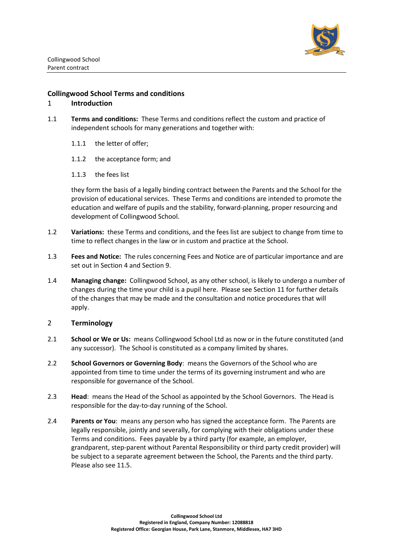

#### **Collingwood School Terms and conditions**

#### 1 **Introduction**

- 1.1 **Terms and conditions:** These Terms and conditions reflect the custom and practice of independent schools for many generations and together with:
	- 1.1.1 the letter of offer;
	- 1.1.2 the acceptance form; and
	- 1.1.3 the fees list

they form the basis of a legally binding contract between the Parents and the School for the provision of educational services. These Terms and conditions are intended to promote the education and welfare of pupils and the stability, forward-planning, proper resourcing and development of Collingwood School.

- 1.2 **Variations:** these Terms and conditions, and the fees list are subject to change from time to time to reflect changes in the law or in custom and practice at the School.
- 1.3 **Fees and Notice:** The rules concerning Fees and Notice are of particular importance and are set out in Section 4 and Section [9.](#page-14-0)
- 1.4 **Managing change:** Collingwood School, as any other school, is likely to undergo a number of changes during the time your child is a pupil here. Please see Section [11](#page-16-0) for further details of the changes that may be made and the consultation and notice procedures that will apply.

#### 2 **Terminology**

- 2.1 **School or We or Us:** means Collingwood School Ltd as now or in the future constituted (and any successor). The School is constituted as a company limited by shares.
- 2.2 **School Governors or Governing Body**: means the Governors of the School who are appointed from time to time under the terms of its governing instrument and who are responsible for governance of the School.
- 2.3 **Head**: means the Head of the School as appointed by the School Governors. The Head is responsible for the day-to-day running of the School.
- 2.4 **Parents or You**: means any person who has signed the acceptance form. The Parents are legally responsible, jointly and severally, for complying with their obligations under these Terms and conditions. Fees payable by a third party (for example, an employer, grandparent, step-parent without Parental Responsibility or third party credit provider) will be subject to a separate agreement between the School, the Parents and the third party. Please also see [11.5.](#page-17-0)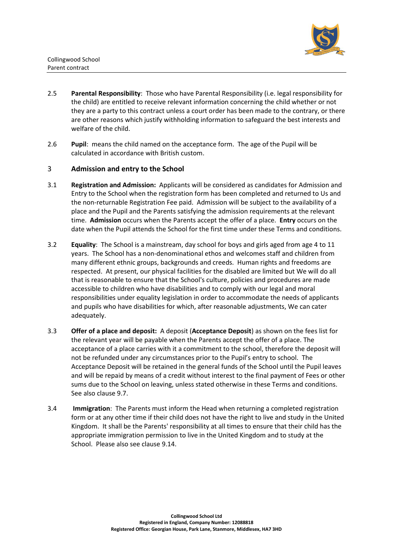

- 2.5 **Parental Responsibility**: Those who have Parental Responsibility (i.e. legal responsibility for the child) are entitled to receive relevant information concerning the child whether or not they are a party to this contract unless a court order has been made to the contrary, or there are other reasons which justify withholding information to safeguard the best interests and welfare of the child.
- 2.6 **Pupil**: means the child named on the acceptance form. The age of the Pupil will be calculated in accordance with British custom.

#### 3 **Admission and entry to the School**

- <span id="page-2-0"></span>3.1 **Registration and Admission:** Applicants will be considered as candidates for Admission and Entry to the School when the registration form has been completed and returned to Us and the non-returnable Registration Fee paid. Admission will be subject to the availability of a place and the Pupil and the Parents satisfying the admission requirements at the relevant time. **Admission** occurs when the Parents accept the offer of a place. **Entry** occurs on the date when the Pupil attends the School for the first time under these Terms and conditions.
- 3.2 **Equality**: The School is a mainstream, day school for boys and girls aged from age 4 to 11 years. The School has a non-denominational ethos and welcomes staff and children from many different ethnic groups, backgrounds and creeds. Human rights and freedoms are respected. At present, our physical facilities for the disabled are limited but We will do all that is reasonable to ensure that the School's culture, policies and procedures are made accessible to children who have disabilities and to comply with our legal and moral responsibilities under equality legislation in order to accommodate the needs of applicants and pupils who have disabilities for which, after reasonable adjustments, We can cater adequately.
- <span id="page-2-1"></span>3.3 **Offer of a place and deposit:** A deposit (**Acceptance Deposit**) as shown on the fees list for the relevant year will be payable when the Parents accept the offer of a place. The acceptance of a place carries with it a commitment to the school, therefore the deposit will not be refunded under any circumstances prior to the Pupil's entry to school. The Acceptance Deposit will be retained in the general funds of the School until the Pupil leaves and will be repaid by means of a credit without interest to the final payment of Fees or other sums due to the School on leaving, unless stated otherwise in these Terms and conditions. See also clause 9.7.
- 3.4 **Immigration**: The Parents must inform the Head when returning a completed registration form or at any other time if their child does not have the right to live and study in the United Kingdom. It shall be the Parents' responsibility at all times to ensure that their child has the appropriate immigration permission to live in the United Kingdom and to study at the School. Please also see clause 9.14.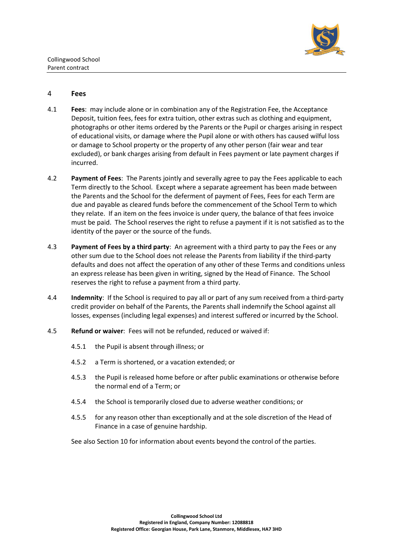

#### 4 **Fees**

- 4.1 **Fees**: may include alone or in combination any of the Registration Fee, the Acceptance Deposit, tuition fees, fees for extra tuition, other extras such as clothing and equipment, photographs or other items ordered by the Parents or the Pupil or charges arising in respect of educational visits, or damage where the Pupil alone or with others has caused wilful loss or damage to School property or the property of any other person (fair wear and tear excluded), or bank charges arising from default in Fees payment or late payment charges if incurred.
- 4.2 **Payment of Fees**: The Parents jointly and severally agree to pay the Fees applicable to each Term directly to the School. Except where a separate agreement has been made between the Parents and the School for the deferment of payment of Fees, Fees for each Term are due and payable as cleared funds before the commencement of the School Term to which they relate. If an item on the fees invoice is under query, the balance of that fees invoice must be paid. The School reserves the right to refuse a payment if it is not satisfied as to the identity of the payer or the source of the funds.
- 4.3 **Payment of Fees by a third party**: An agreement with a third party to pay the Fees or any other sum due to the School does not release the Parents from liability if the third-party defaults and does not affect the operation of any other of these Terms and conditions unless an express release has been given in writing, signed by the Head of Finance. The School reserves the right to refuse a payment from a third party.
- 4.4 **Indemnity**: If the School is required to pay all or part of any sum received from a third-party credit provider on behalf of the Parents, the Parents shall indemnify the School against all losses, expenses (including legal expenses) and interest suffered or incurred by the School.
- <span id="page-3-0"></span>4.5 **Refund or waiver**: Fees will not be refunded, reduced or waived if:
	- 4.5.1 the Pupil is absent through illness; or
	- 4.5.2 a Term is shortened, or a vacation extended; or
	- 4.5.3 the Pupil is released home before or after public examinations or otherwise before the normal end of a Term; or
	- 4.5.4 the School is temporarily closed due to adverse weather conditions; or
	- 4.5.5 for any reason other than exceptionally and at the sole discretion of the Head of Finance in a case of genuine hardship.

See also Section [10](#page-16-1) for information about events beyond the control of the parties.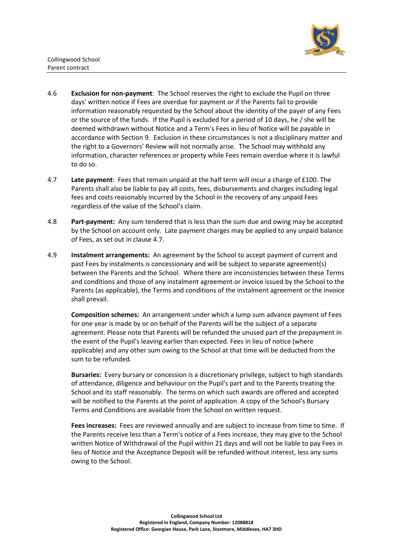

- 4.6 **Exclusion for non-payment**: The School reserves the right to exclude the Pupil on three days' written notice if Fees are overdue for payment or if the Parents fail to provide information reasonably requested by the School about the identity of the payer of any Fees or the source of the funds. If the Pupil is excluded for a period of 10 days, he / she will be deemed withdrawn without Notice and a Term's Fees in lieu of Notice will be payable in accordance with Section [9.](#page-14-0) Exclusion in these circumstances is not a disciplinary matter and the right to a Governors' Review will not normally arise. The School may withhold any information, character references or property while Fees remain overdue where it is lawful to do so.
- <span id="page-4-0"></span>4.7 **Late payment**: Fees that remain unpaid at the half term will incur a charge of £100. The Parents shall also be liable to pay all costs, fees, disbursements and charges including legal fees and costs reasonably incurred by the School in the recovery of any unpaid Fees regardless of the value of the School's claim.
- 4.8 **Part-payment:** Any sum tendered that is less than the sum due and owing may be accepted by the School on account only. Late payment charges may be applied to any unpaid balance of Fees, as set out in clause [4.7.](#page-4-0)
- 4.9 **Instalment arrangements:** An agreement by the School to accept payment of current and past Fees by instalments is concessionary and will be subject to separate agreement(s) between the Parents and the School. Where there are inconsistencies between these Terms and conditions and those of any instalment agreement or invoice issued by the School to the Parents (as applicable), the Terms and conditions of the instalment agreement or the invoice shall prevail.

**Composition schemes:** An arrangement under which a lump sum advance payment of Fees for one year is made by or on behalf of the Parents will be the subject of a separate agreement. Please note that Parents will be refunded the unused part of the prepayment in the event of the Pupil's leaving earlier than expected. Fees in lieu of notice (where applicable) and any other sum owing to the School at that time will be deducted from the sum to be refunded.

**Bursaries:** Every bursary or concession is a discretionary privilege, subject to high standards of attendance, diligence and behaviour on the Pupil's part and to the Parents treating the School and its staff reasonably. The terms on which such awards are offered and accepted will be notified to the Parents at the point of application. A copy of the School's Bursary Terms and Conditions are available from the School on written request.

**Fees increases:** Fees are reviewed annually and are subject to increase from time to time. If the Parents receive less than a Term's notice of a Fees increase, they may give to the School written Notice of Withdrawal of the Pupil within 21 days and will not be liable to pay Fees in lieu of Notice and the Acceptance Deposit will be refunded without interest, less any sums owing to the School.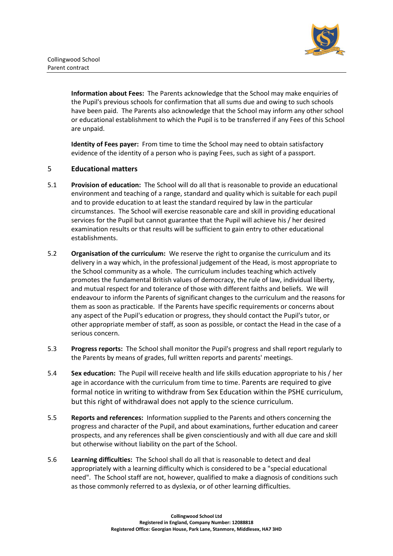

**Information about Fees:** The Parents acknowledge that the School may make enquiries of the Pupil's previous schools for confirmation that all sums due and owing to such schools have been paid. The Parents also acknowledge that the School may inform any other school or educational establishment to which the Pupil is to be transferred if any Fees of this School are unpaid.

**Identity of Fees payer:** From time to time the School may need to obtain satisfactory evidence of the identity of a person who is paying Fees, such as sight of a passport.

#### 5 **Educational matters**

- 5.1 **Provision of education:** The School will do all that is reasonable to provide an educational environment and teaching of a range, standard and quality which is suitable for each pupil and to provide education to at least the standard required by law in the particular circumstances. The School will exercise reasonable care and skill in providing educational services for the Pupil but cannot guarantee that the Pupil will achieve his / her desired examination results or that results will be sufficient to gain entry to other educational establishments.
- 5.2 **Organisation of the curriculum:** We reserve the right to organise the curriculum and its delivery in a way which, in the professional judgement of the Head, is most appropriate to the School community as a whole. The curriculum includes teaching which actively promotes the fundamental British values of democracy, the rule of law, individual liberty, and mutual respect for and tolerance of those with different faiths and beliefs. We will endeavour to inform the Parents of significant changes to the curriculum and the reasons for them as soon as practicable. If the Parents have specific requirements or concerns about any aspect of the Pupil's education or progress, they should contact the Pupil's tutor, or other appropriate member of staff, as soon as possible, or contact the Head in the case of a serious concern.
- 5.3 **Progress reports:** The School shall monitor the Pupil's progress and shall report regularly to the Parents by means of grades, full written reports and parents' meetings.
- 5.4 **Sex education:** The Pupil will receive health and life skills education appropriate to his / her age in accordance with the curriculum from time to time. Parents are required to give formal notice in writing to withdraw from Sex Education within the PSHE curriculum, but this right of withdrawal does not apply to the science curriculum.
- 5.5 **Reports and references:** Information supplied to the Parents and others concerning the progress and character of the Pupil, and about examinations, further education and career prospects, and any references shall be given conscientiously and with all due care and skill but otherwise without liability on the part of the School.
- 5.6 **Learning difficulties:** The School shall do all that is reasonable to detect and deal appropriately with a learning difficulty which is considered to be a "special educational need". The School staff are not, however, qualified to make a diagnosis of conditions such as those commonly referred to as dyslexia, or of other learning difficulties.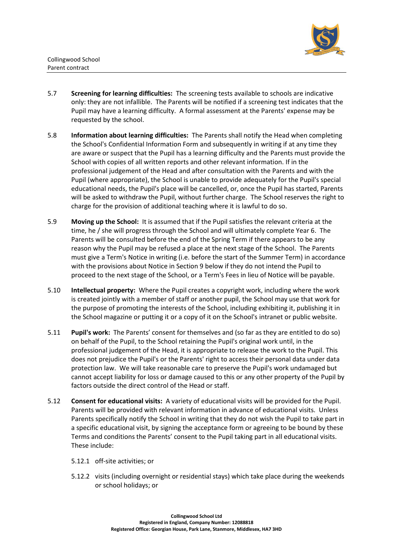

Collingwood School Parent contract

- 5.7 **Screening for learning difficulties:** The screening tests available to schools are indicative only: they are not infallible. The Parents will be notified if a screening test indicates that the Pupil may have a learning difficulty. A formal assessment at the Parents' expense may be requested by the school.
- 5.8 **Information about learning difficulties:** The Parents shall notify the Head when completing the School's Confidential Information Form and subsequently in writing if at any time they are aware or suspect that the Pupil has a learning difficulty and the Parents must provide the School with copies of all written reports and other relevant information. If in the professional judgement of the Head and after consultation with the Parents and with the Pupil (where appropriate), the School is unable to provide adequately for the Pupil's special educational needs, the Pupil's place will be cancelled, or, once the Pupil has started, Parents will be asked to withdraw the Pupil, without further charge. The School reserves the right to charge for the provision of additional teaching where it is lawful to do so.
- 5.9 **Moving up the School:** It is assumed that if the Pupil satisfies the relevant criteria at the time, he / she will progress through the School and will ultimately complete Year 6. The Parents will be consulted before the end of the Spring Term if there appears to be any reason why the Pupil may be refused a place at the next stage of the School. The Parents must give a Term's Notice in writing (i.e. before the start of the Summer Term) in accordance with the provisions about Notice in Section [9](#page-14-0) below if they do not intend the Pupil to proceed to the next stage of the School, or a Term's Fees in lieu of Notice will be payable.
- 5.10 **Intellectual property:** Where the Pupil creates a copyright work, including where the work is created jointly with a member of staff or another pupil, the School may use that work for the purpose of promoting the interests of the School, including exhibiting it, publishing it in the School magazine or putting it or a copy of it on the School's intranet or public website.
- 5.11 **Pupil's work:** The Parents' consent for themselves and (so far as they are entitled to do so) on behalf of the Pupil, to the School retaining the Pupil's original work until, in the professional judgement of the Head, it is appropriate to release the work to the Pupil. This does not prejudice the Pupil's or the Parents' right to access their personal data under data protection law. We will take reasonable care to preserve the Pupil's work undamaged but cannot accept liability for loss or damage caused to this or any other property of the Pupil by factors outside the direct control of the Head or staff.
- <span id="page-6-0"></span>5.12 **Consent for educational visits:** A variety of educational visits will be provided for the Pupil. Parents will be provided with relevant information in advance of educational visits. Unless Parents specifically notify the School in writing that they do not wish the Pupil to take part in a specific educational visit, by signing the acceptance form or agreeing to be bound by these Terms and conditions the Parents' consent to the Pupil taking part in all educational visits. These include:
	- 5.12.1 off-site activities; or
	- 5.12.2 visits (including overnight or residential stays) which take place during the weekends or school holidays; or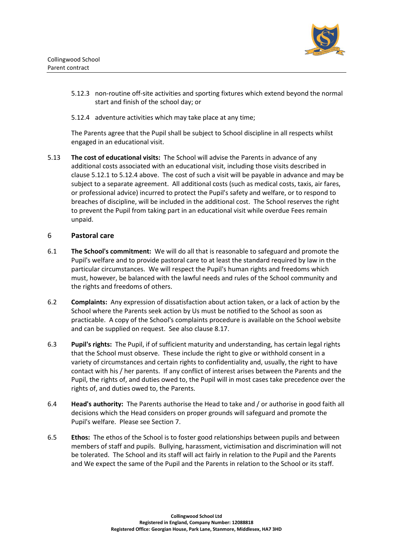

- 5.12.3 non-routine off-site activities and sporting fixtures which extend beyond the normal start and finish of the school day; or
- <span id="page-7-0"></span>5.12.4 adventure activities which may take place at any time;

The Parents agree that the Pupil shall be subject to School discipline in all respects whilst engaged in an educational visit.

5.13 **The cost of educational visits:** The School will advise the Parents in advance of any additional costs associated with an educational visit, including those visits described in clause [5.12.1](#page-6-0) to [5.12.4](#page-7-0) above. The cost of such a visit will be payable in advance and may be subject to a separate agreement. All additional costs (such as medical costs, taxis, air fares, or professional advice) incurred to protect the Pupil's safety and welfare, or to respond to breaches of discipline, will be included in the additional cost. The School reserves the right to prevent the Pupil from taking part in an educational visit while overdue Fees remain unpaid.

#### 6 **Pastoral care**

- 6.1 **The School's commitment:** We will do all that is reasonable to safeguard and promote the Pupil's welfare and to provide pastoral care to at least the standard required by law in the particular circumstances. We will respect the Pupil's human rights and freedoms which must, however, be balanced with the lawful needs and rules of the School community and the rights and freedoms of others.
- <span id="page-7-1"></span>6.2 **Complaints:** Any expression of dissatisfaction about action taken, or a lack of action by the School where the Parents seek action by Us must be notified to the School as soon as practicable. A copy of the School's complaints procedure is available on the School website and can be supplied on request. See also clause [8.17.](#page-14-1)
- 6.3 **Pupil's rights:** The Pupil, if of sufficient maturity and understanding, has certain legal rights that the School must observe. These include the right to give or withhold consent in a variety of circumstances and certain rights to confidentiality and, usually, the right to have contact with his / her parents. If any conflict of interest arises between the Parents and the Pupil, the rights of, and duties owed to, the Pupil will in most cases take precedence over the rights of, and duties owed to, the Parents.
- 6.4 **Head's authority:** The Parents authorise the Head to take and / or authorise in good faith all decisions which the Head considers on proper grounds will safeguard and promote the Pupil's welfare. Please see Section [7.](#page-10-0)
- 6.5 **Ethos:** The ethos of the School is to foster good relationships between pupils and between members of staff and pupils. Bullying, harassment, victimisation and discrimination will not be tolerated. The School and its staff will act fairly in relation to the Pupil and the Parents and We expect the same of the Pupil and the Parents in relation to the School or its staff.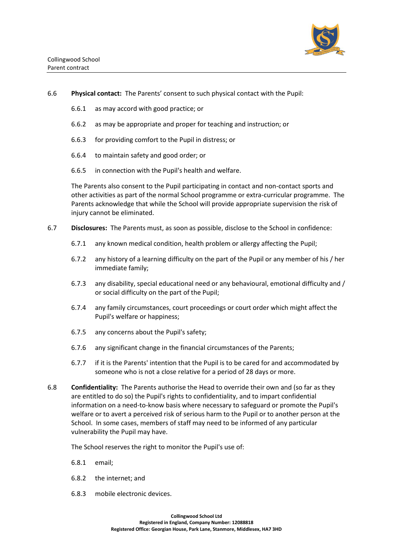

- 6.6 **Physical contact:** The Parents' consent to such physical contact with the Pupil:
	- 6.6.1 as may accord with good practice; or
	- 6.6.2 as may be appropriate and proper for teaching and instruction; or
	- 6.6.3 for providing comfort to the Pupil in distress; or
	- 6.6.4 to maintain safety and good order; or
	- 6.6.5 in connection with the Pupil's health and welfare.

The Parents also consent to the Pupil participating in contact and non-contact sports and other activities as part of the normal School programme or extra-curricular programme. The Parents acknowledge that while the School will provide appropriate supervision the risk of injury cannot be eliminated.

- 6.7 **Disclosures:** The Parents must, as soon as possible, disclose to the School in confidence:
	- 6.7.1 any known medical condition, health problem or allergy affecting the Pupil;
	- 6.7.2 any history of a learning difficulty on the part of the Pupil or any member of his / her immediate family;
	- 6.7.3 any disability, special educational need or any behavioural, emotional difficulty and / or social difficulty on the part of the Pupil;
	- 6.7.4 any family circumstances, court proceedings or court order which might affect the Pupil's welfare or happiness;
	- 6.7.5 any concerns about the Pupil's safety;
	- 6.7.6 any significant change in the financial circumstances of the Parents;
	- 6.7.7 if it is the Parents' intention that the Pupil is to be cared for and accommodated by someone who is not a close relative for a period of 28 days or more.
- 6.8 **Confidentiality:** The Parents authorise the Head to override their own and (so far as they are entitled to do so) the Pupil's rights to confidentiality, and to impart confidential information on a need-to-know basis where necessary to safeguard or promote the Pupil's welfare or to avert a perceived risk of serious harm to the Pupil or to another person at the School. In some cases, members of staff may need to be informed of any particular vulnerability the Pupil may have.

The School reserves the right to monitor the Pupil's use of:

- 6.8.1 email;
- 6.8.2 the internet; and
- 6.8.3 mobile electronic devices.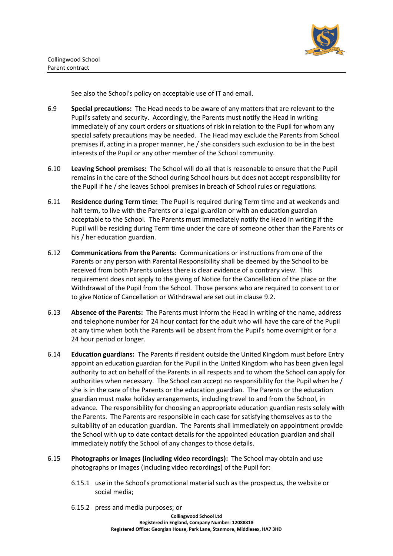

See also the School's policy on acceptable use of IT and email.

- 6.9 **Special precautions:** The Head needs to be aware of any matters that are relevant to the Pupil's safety and security. Accordingly, the Parents must notify the Head in writing immediately of any court orders or situations of risk in relation to the Pupil for whom any special safety precautions may be needed. The Head may exclude the Parents from School premises if, acting in a proper manner, he / she considers such exclusion to be in the best interests of the Pupil or any other member of the School community.
- 6.10 **Leaving School premises:** The School will do all that is reasonable to ensure that the Pupil remains in the care of the School during School hours but does not accept responsibility for the Pupil if he / she leaves School premises in breach of School rules or regulations.
- 6.11 **Residence during Term time:** The Pupil is required during Term time and at weekends and half term, to live with the Parents or a legal guardian or with an education guardian acceptable to the School. The Parents must immediately notify the Head in writing if the Pupil will be residing during Term time under the care of someone other than the Parents or his / her education guardian.
- 6.12 **Communications from the Parents:** Communications or instructions from one of the Parents or any person with Parental Responsibility shall be deemed by the School to be received from both Parents unless there is clear evidence of a contrary view. This requirement does not apply to the giving of Notice for the Cancellation of the place or the Withdrawal of the Pupil from the School. Those persons who are required to consent to or to give Notice of Cancellation or Withdrawal are set out in clause [9.2.](#page-14-2)
- 6.13 **Absence of the Parents:** The Parents must inform the Head in writing of the name, address and telephone number for 24 hour contact for the adult who will have the care of the Pupil at any time when both the Parents will be absent from the Pupil's home overnight or for a 24 hour period or longer.
- 6.14 **Education guardians:** The Parents if resident outside the United Kingdom must before Entry appoint an education guardian for the Pupil in the United Kingdom who has been given legal authority to act on behalf of the Parents in all respects and to whom the School can apply for authorities when necessary. The School can accept no responsibility for the Pupil when he / she is in the care of the Parents or the education guardian. The Parents or the education guardian must make holiday arrangements, including travel to and from the School, in advance. The responsibility for choosing an appropriate education guardian rests solely with the Parents. The Parents are responsible in each case for satisfying themselves as to the suitability of an education guardian. The Parents shall immediately on appointment provide the School with up to date contact details for the appointed education guardian and shall immediately notify the School of any changes to those details.
- 6.15 **Photographs or images (including video recordings):** The School may obtain and use photographs or images (including video recordings) of the Pupil for:
	- 6.15.1 use in the School's promotional material such as the prospectus, the website or social media;
	- 6.15.2 press and media purposes; or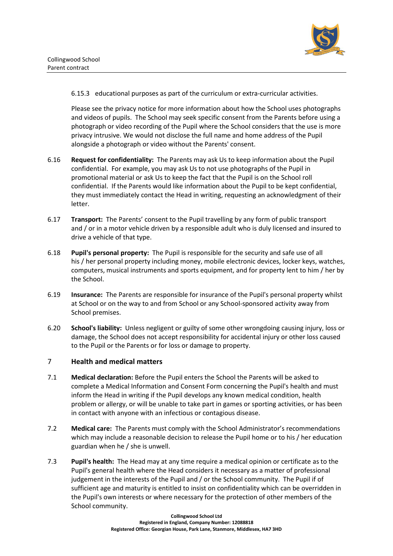

6.15.3 educational purposes as part of the curriculum or extra-curricular activities.

Please see the privacy notice for more information about how the School uses photographs and videos of pupils. The School may seek specific consent from the Parents before using a photograph or video recording of the Pupil where the School considers that the use is more privacy intrusive. We would not disclose the full name and home address of the Pupil alongside a photograph or video without the Parents' consent.

- 6.16 **Request for confidentiality:** The Parents may ask Us to keep information about the Pupil confidential. For example, you may ask Us to not use photographs of the Pupil in promotional material or ask Us to keep the fact that the Pupil is on the School roll confidential. If the Parents would like information about the Pupil to be kept confidential, they must immediately contact the Head in writing, requesting an acknowledgment of their letter.
- 6.17 **Transport:** The Parents' consent to the Pupil travelling by any form of public transport and / or in a motor vehicle driven by a responsible adult who is duly licensed and insured to drive a vehicle of that type.
- 6.18 **Pupil's personal property:** The Pupil is responsible for the security and safe use of all his / her personal property including money, mobile electronic devices, locker keys, watches, computers, musical instruments and sports equipment, and for property lent to him / her by the School.
- 6.19 **Insurance:** The Parents are responsible for insurance of the Pupil's personal property whilst at School or on the way to and from School or any School-sponsored activity away from School premises.
- 6.20 **School's liability:** Unless negligent or guilty of some other wrongdoing causing injury, loss or damage, the School does not accept responsibility for accidental injury or other loss caused to the Pupil or the Parents or for loss or damage to property.

#### <span id="page-10-0"></span>7 **Health and medical matters**

- 7.1 **Medical declaration:** Before the Pupil enters the School the Parents will be asked to complete a Medical Information and Consent Form concerning the Pupil's health and must inform the Head in writing if the Pupil develops any known medical condition, health problem or allergy, or will be unable to take part in games or sporting activities, or has been in contact with anyone with an infectious or contagious disease.
- 7.2 **Medical care:** The Parents must comply with the School Administrator's recommendations which may include a reasonable decision to release the Pupil home or to his / her education guardian when he / she is unwell.
- 7.3 **Pupil's health:** The Head may at any time require a medical opinion or certificate as to the Pupil's general health where the Head considers it necessary as a matter of professional judgement in the interests of the Pupil and / or the School community. The Pupil if of sufficient age and maturity is entitled to insist on confidentiality which can be overridden in the Pupil's own interests or where necessary for the protection of other members of the School community.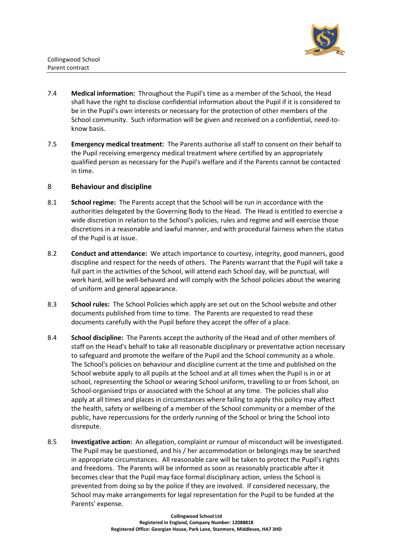

- 7.4 **Medical information:** Throughout the Pupil's time as a member of the School, the Head shall have the right to disclose confidential information about the Pupil if it is considered to be in the Pupil's own interests or necessary for the protection of other members of the School community. Such information will be given and received on a confidential, need-toknow basis.
- 7.5 **Emergency medical treatment:** The Parents authorise all staff to consent on their behalf to the Pupil receiving emergency medical treatment where certified by an appropriately qualified person as necessary for the Pupil's welfare and if the Parents cannot be contacted in time.

#### 8 **Behaviour and discipline**

- 8.1 **School regime:** The Parents accept that the School will be run in accordance with the authorities delegated by the Governing Body to the Head. The Head is entitled to exercise a wide discretion in relation to the School's policies, rules and regime and will exercise those discretions in a reasonable and lawful manner, and with procedural fairness when the status of the Pupil is at issue.
- 8.2 **Conduct and attendance:** We attach importance to courtesy, integrity, good manners, good discipline and respect for the needs of others. The Parents warrant that the Pupil will take a full part in the activities of the School, will attend each School day, will be punctual, will work hard, will be well-behaved and will comply with the School policies about the wearing of uniform and general appearance.
- 8.3 **School rules:** The School Policies which apply are set out on the School website and other documents published from time to time. The Parents are requested to read these documents carefully with the Pupil before they accept the offer of a place.
- 8.4 **School discipline:** The Parents accept the authority of the Head and of other members of staff on the Head's behalf to take all reasonable disciplinary or preventative action necessary to safeguard and promote the welfare of the Pupil and the School community as a whole. The School's policies on behaviour and discipline current at the time and published on the School website apply to all pupils at the School and at all times when the Pupil is in or at school, representing the School or wearing School uniform, travelling to or from School, on School-organised trips or associated with the School at any time. The policies shall also apply at all times and places in circumstances where failing to apply this policy may affect the health, safety or wellbeing of a member of the School community or a member of the public, have repercussions for the orderly running of the School or bring the School into disrepute.
- 8.5 **Investigative action:** An allegation, complaint or rumour of misconduct will be investigated. The Pupil may be questioned, and his / her accommodation or belongings may be searched in appropriate circumstances. All reasonable care will be taken to protect the Pupil's rights and freedoms. The Parents will be informed as soon as reasonably practicable after it becomes clear that the Pupil may face formal disciplinary action, unless the School is prevented from doing so by the police if they are involved. If considered necessary, the School may make arrangements for legal representation for the Pupil to be funded at the Parents' expense.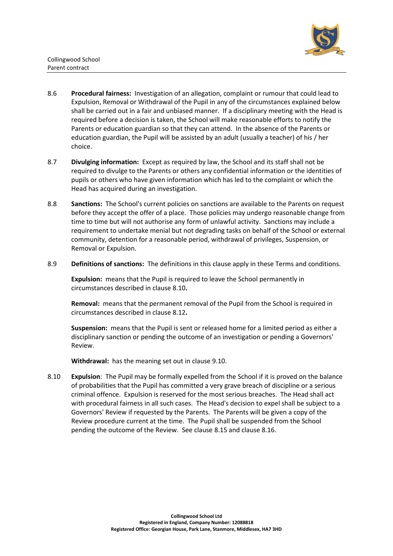

- 8.6 **Procedural fairness:** Investigation of an allegation, complaint or rumour that could lead to Expulsion, Removal or Withdrawal of the Pupil in any of the circumstances explained below shall be carried out in a fair and unbiased manner. If a disciplinary meeting with the Head is required before a decision is taken, the School will make reasonable efforts to notify the Parents or education guardian so that they can attend. In the absence of the Parents or education guardian, the Pupil will be assisted by an adult (usually a teacher) of his / her choice.
- 8.7 **Divulging information:** Except as required by law, the School and its staff shall not be required to divulge to the Parents or others any confidential information or the identities of pupils or others who have given information which has led to the complaint or which the Head has acquired during an investigation.
- 8.8 **Sanctions:** The School's current policies on sanctions are available to the Parents on request before they accept the offer of a place. Those policies may undergo reasonable change from time to time but will not authorise any form of unlawful activity. Sanctions may include a requirement to undertake menial but not degrading tasks on behalf of the School or external community, detention for a reasonable period, withdrawal of privileges, Suspension, or Removal or Expulsion.
- 8.9 **Definitions of sanctions:** The definitions in this clause apply in these Terms and conditions.

**Expulsion:** means that the Pupil is required to leave the School permanently in circumstances described in clause [8.10](#page-12-0)**.**

**Removal:** means that the permanent removal of the Pupil from the School is required in circumstances described in clause [8.12](#page-13-0)**.**

**Suspension:** means that the Pupil is sent or released home for a limited period as either a disciplinary sanction or pending the outcome of an investigation or pending a Governors' Review.

**Withdrawal:** has the meaning set out in clause 9.10.

<span id="page-12-0"></span>8.10 **Expulsion**: The Pupil may be formally expelled from the School if it is proved on the balance of probabilities that the Pupil has committed a very grave breach of discipline or a serious criminal offence. Expulsion is reserved for the most serious breaches. The Head shall act with procedural fairness in all such cases. The Head's decision to expel shall be subject to a Governors' Review if requested by the Parents. The Parents will be given a copy of the Review procedure current at the time. The Pupil shall be suspended from the School pending the outcome of the Review. See clause [8.15](#page-13-1) and clause [8.16.](#page-13-2)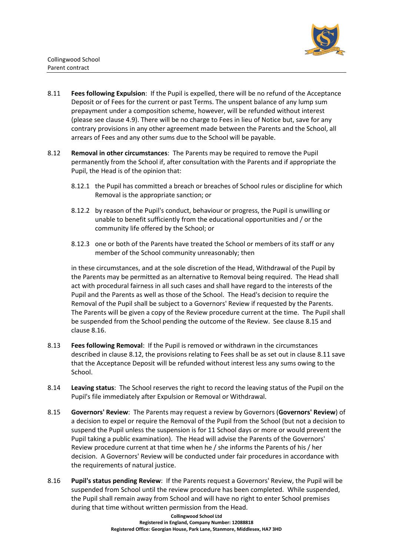

- 8.11 **Fees following Expulsion**: If the Pupil is expelled, there will be no refund of the Acceptance Deposit or of Fees for the current or past Terms. The unspent balance of any lump sum prepayment under a composition scheme, however, will be refunded without interest (please see clause 4.9). There will be no charge to Fees in lieu of Notice but, save for any contrary provisions in any other agreement made between the Parents and the School, all arrears of Fees and any other sums due to the School will be payable.
- <span id="page-13-0"></span>8.12 **Removal in other circumstances**: The Parents may be required to remove the Pupil permanently from the School if, after consultation with the Parents and if appropriate the Pupil, the Head is of the opinion that:
	- 8.12.1 the Pupil has committed a breach or breaches of School rules or discipline for which Removal is the appropriate sanction; or
	- 8.12.2 by reason of the Pupil's conduct, behaviour or progress, the Pupil is unwilling or unable to benefit sufficiently from the educational opportunities and / or the community life offered by the School; or
	- 8.12.3 one or both of the Parents have treated the School or members of its staff or any member of the School community unreasonably; then

in these circumstances, and at the sole discretion of the Head, Withdrawal of the Pupil by the Parents may be permitted as an alternative to Removal being required. The Head shall act with procedural fairness in all such cases and shall have regard to the interests of the Pupil and the Parents as well as those of the School. The Head's decision to require the Removal of the Pupil shall be subject to a Governors' Review if requested by the Parents. The Parents will be given a copy of the Review procedure current at the time. The Pupil shall be suspended from the School pending the outcome of the Review. See clause [8.15](#page-13-1) and clause [8.16.](#page-13-2)

- <span id="page-13-3"></span>8.13 **Fees following Removal**: If the Pupil is removed or withdrawn in the circumstances described in clause [8.12,](#page-13-0) the provisions relating to Fees shall be as set out in clause 8.11 save that the Acceptance Deposit will be refunded without interest less any sums owing to the School.
- 8.14 **Leaving status**: The School reserves the right to record the leaving status of the Pupil on the Pupil's file immediately after Expulsion or Removal or Withdrawal.
- <span id="page-13-1"></span>8.15 **Governors' Review**: The Parents may request a review by Governors (**Governors' Review**) of a decision to expel or require the Removal of the Pupil from the School (but not a decision to suspend the Pupil unless the suspension is for 11 School days or more or would prevent the Pupil taking a public examination). The Head will advise the Parents of the Governors' Review procedure current at that time when he / she informs the Parents of his / her decision. A Governors' Review will be conducted under fair procedures in accordance with the requirements of natural justice.
- <span id="page-13-2"></span>8.16 **Pupil's status pending Review**: If the Parents request a Governors' Review, the Pupil will be suspended from School until the review procedure has been completed. While suspended, the Pupil shall remain away from School and will have no right to enter School premises during that time without written permission from the Head.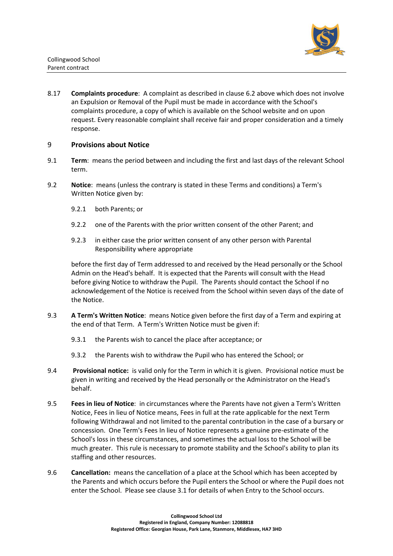

<span id="page-14-1"></span>8.17 **Complaints procedure**: A complaint as described in clause [6.2](#page-7-1) above which does not involve an Expulsion or Removal of the Pupil must be made in accordance with the School's complaints procedure, a copy of which is available on the School website and on upon request. Every reasonable complaint shall receive fair and proper consideration and a timely response.

#### <span id="page-14-0"></span>9 **Provisions about Notice**

- 9.1 **Term**: means the period between and including the first and last days of the relevant School term.
- <span id="page-14-2"></span>9.2 **Notice**: means (unless the contrary is stated in these Terms and conditions) a Term's Written Notice given by:
	- 9.2.1 both Parents; or
	- 9.2.2 one of the Parents with the prior written consent of the other Parent; and
	- 9.2.3 in either case the prior written consent of any other person with Parental Responsibility where appropriate

before the first day of Term addressed to and received by the Head personally or the School Admin on the Head's behalf. It is expected that the Parents will consult with the Head before giving Notice to withdraw the Pupil. The Parents should contact the School if no acknowledgement of the Notice is received from the School within seven days of the date of the Notice.

- 9.3 **A Term's Written Notice**: means Notice given before the first day of a Term and expiring at the end of that Term. A Term's Written Notice must be given if:
	- 9.3.1 the Parents wish to cancel the place after acceptance; or
	- 9.3.2 the Parents wish to withdraw the Pupil who has entered the School; or
- 9.4 **Provisional notice:** is valid only for the Term in which it is given. Provisional notice must be given in writing and received by the Head personally or the Administrator on the Head's behalf.
- <span id="page-14-3"></span>9.5 **Fees in lieu of Notice**: in circumstances where the Parents have not given a Term's Written Notice, Fees in lieu of Notice means, Fees in full at the rate applicable for the next Term following Withdrawal and not limited to the parental contribution in the case of a bursary or concession. One Term's Fees In lieu of Notice represents a genuine pre-estimate of the School's loss in these circumstances, and sometimes the actual loss to the School will be much greater. This rule is necessary to promote stability and the School's ability to plan its staffing and other resources.
- 9.6 **Cancellation:** means the cancellation of a place at the School which has been accepted by the Parents and which occurs before the Pupil enters the School or where the Pupil does not enter the School. Please see clause [3.1](#page-2-0) for details of when Entry to the School occurs.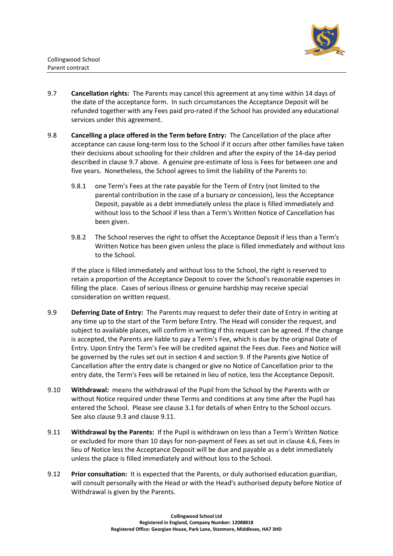

- 9.7 **Cancellation rights:** The Parents may cancel this agreement at any time within 14 days of the date of the acceptance form. In such circumstances the Acceptance Deposit will be refunded together with any Fees paid pro-rated if the School has provided any educational services under this agreement.
- <span id="page-15-1"></span>9.8 **Cancelling a place offered in the Term before Entry:** The Cancellation of the place after acceptance can cause long-term loss to the School if it occurs after other families have taken their decisions about schooling for their children and after the expiry of the 14-day period described in clause 9.7 above. A genuine pre-estimate of loss is Fees for between one and five years. Nonetheless, the School agrees to limit the liability of the Parents to:
	- 9.8.1 one Term's Fees at the rate payable for the Term of Entry (not limited to the parental contribution in the case of a bursary or concession), less the Acceptance Deposit, payable as a debt immediately unless the place is filled immediately and without loss to the School if less than a Term's Written Notice of Cancellation has been given.
	- 9.8.2 The School reserves the right to offset the Acceptance Deposit if less than a Term's Written Notice has been given unless the place is filled immediately and without loss to the School.

If the place is filled immediately and without loss to the School, the right is reserved to retain a proportion of the Acceptance Deposit to cover the School's reasonable expenses in filling the place. Cases of serious illness or genuine hardship may receive special consideration on written request.

- 9.9 **Deferring Date of Entry:** The Parents may request to defer their date of Entry in writing at any time up to the start of the Term before Entry. The Head will consider the request, and subject to available places, will confirm in writing if this request can be agreed. If the change is accepted, the Parents are liable to pay a Term's Fee, which is due by the original Date of Entry. Upon Entry the Term's Fee will be credited against the Fees due. Fees and Notice will be governed by the rules set out in section 4 and section 9. If the Parents give Notice of Cancellation after the entry date is changed or give no Notice of Cancellation prior to the entry date, the Term's Fees will be retained in lieu of notice, less the Acceptance Deposit.
- 9.10 **Withdrawal:** means the withdrawal of the Pupil from the School by the Parents with or without Notice required under these Terms and conditions at any time after the Pupil has entered the School. Please see clause [3.1](#page-2-0) for details of when Entry to the School occurs. See also clause 9.3 and clause [9.11.](#page-15-0)
- <span id="page-15-0"></span>9.11 **Withdrawal by the Parents:** If the Pupil is withdrawn on less than a Term's Written Notice or excluded for more than 10 days for non-payment of Fees as set out in clause 4.6, Fees in lieu of Notice less the Acceptance Deposit will be due and payable as a debt immediately unless the place is filled immediately and without loss to the School.
- 9.12 **Prior consultation:** It is expected that the Parents, or duly authorised education guardian, will consult personally with the Head or with the Head's authorised deputy before Notice of Withdrawal is given by the Parents.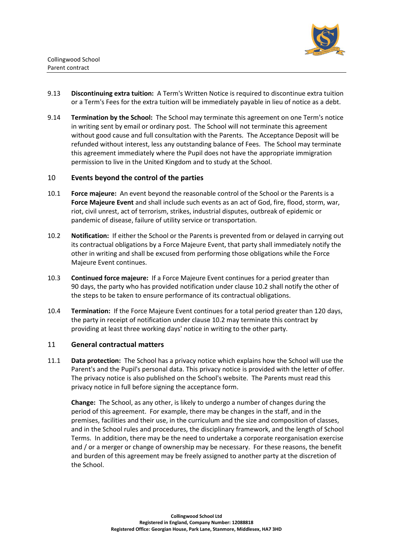

- 9.13 **Discontinuing extra tuition:** A Term's Written Notice is required to discontinue extra tuition or a Term's Fees for the extra tuition will be immediately payable in lieu of notice as a debt.
- 9.14 **Termination by the School:** The School may terminate this agreement on one Term's notice in writing sent by email or ordinary post. The School will not terminate this agreement without good cause and full consultation with the Parents. The Acceptance Deposit will be refunded without interest, less any outstanding balance of Fees. The School may terminate this agreement immediately where the Pupil does not have the appropriate immigration permission to live in the United Kingdom and to study at the School.

#### <span id="page-16-1"></span>10 **Events beyond the control of the parties**

- 10.1 **Force majeure:** An event beyond the reasonable control of the School or the Parents is a **Force Majeure Event** and shall include such events as an act of God, fire, flood, storm, war, riot, civil unrest, act of terrorism, strikes, industrial disputes, outbreak of epidemic or pandemic of disease, failure of utility service or transportation.
- <span id="page-16-2"></span>10.2 **Notification:** If either the School or the Parents is prevented from or delayed in carrying out its contractual obligations by a Force Majeure Event, that party shall immediately notify the other in writing and shall be excused from performing those obligations while the Force Majeure Event continues.
- 10.3 **Continued force majeure:** If a Force Majeure Event continues for a period greater than 90 days, the party who has provided notification under clause [10.2](#page-16-2) shall notify the other of the steps to be taken to ensure performance of its contractual obligations.
- 10.4 **Termination:** If the Force Majeure Event continues for a total period greater than 120 days, the party in receipt of notification under clause [10.2](#page-16-2) may terminate this contract by providing at least three working days' notice in writing to the other party.

#### <span id="page-16-0"></span>11 **General contractual matters**

11.1 **Data protection:** The School has a privacy notice which explains how the School will use the Parent's and the Pupil's personal data. This privacy notice is provided with the letter of offer. The privacy notice is also published on the School's website. The Parents must read this privacy notice in full before signing the acceptance form.

**Change:** The School, as any other, is likely to undergo a number of changes during the period of this agreement. For example, there may be changes in the staff, and in the premises, facilities and their use, in the curriculum and the size and composition of classes, and in the School rules and procedures, the disciplinary framework, and the length of School Terms. In addition, there may be the need to undertake a corporate reorganisation exercise and / or a merger or change of ownership may be necessary. For these reasons, the benefit and burden of this agreement may be freely assigned to another party at the discretion of the School.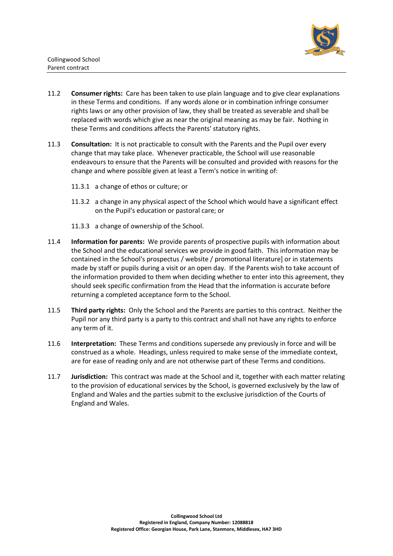

- 11.2 **Consumer rights:** Care has been taken to use plain language and to give clear explanations in these Terms and conditions. If any words alone or in combination infringe consumer rights laws or any other provision of law, they shall be treated as severable and shall be replaced with words which give as near the original meaning as may be fair. Nothing in these Terms and conditions affects the Parents' statutory rights.
- 11.3 **Consultation:** It is not practicable to consult with the Parents and the Pupil over every change that may take place. Whenever practicable, the School will use reasonable endeavours to ensure that the Parents will be consulted and provided with reasons for the change and where possible given at least a Term's notice in writing of:
	- 11.3.1 a change of ethos or culture; or
	- 11.3.2 a change in any physical aspect of the School which would have a significant effect on the Pupil's education or pastoral care; or
	- 11.3.3 a change of ownership of the School.
- 11.4 **Information for parents:** We provide parents of prospective pupils with information about the School and the educational services we provide in good faith. This information may be contained in the School's prospectus / website / promotional literature] or in statements made by staff or pupils during a visit or an open day. If the Parents wish to take account of the information provided to them when deciding whether to enter into this agreement, they should seek specific confirmation from the Head that the information is accurate before returning a completed acceptance form to the School.
- <span id="page-17-0"></span>11.5 **Third party rights:** Only the School and the Parents are parties to this contract. Neither the Pupil nor any third party is a party to this contract and shall not have any rights to enforce any term of it.
- 11.6 **Interpretation:** These Terms and conditions supersede any previously in force and will be construed as a whole. Headings, unless required to make sense of the immediate context, are for ease of reading only and are not otherwise part of these Terms and conditions.
- 11.7 **Jurisdiction:** This contract was made at the School and it, together with each matter relating to the provision of educational services by the School, is governed exclusively by the law of England and Wales and the parties submit to the exclusive jurisdiction of the Courts of England and Wales.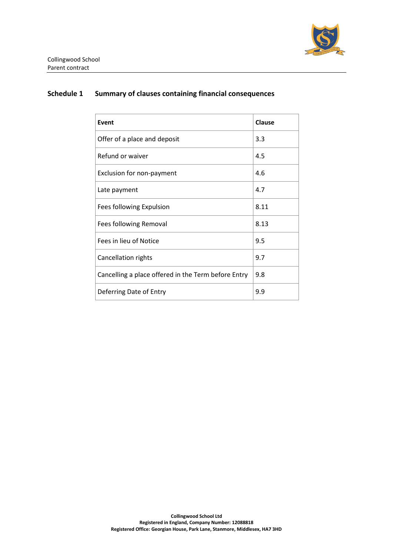

## **Schedule 1 Summary of clauses containing financial consequences**

| Event                                               | <b>Clause</b> |
|-----------------------------------------------------|---------------|
| Offer of a place and deposit                        | 3.3           |
| Refund or waiver                                    | 4.5           |
| Exclusion for non-payment                           | 4.6           |
| Late payment                                        | 4.7           |
| Fees following Expulsion                            | 8.11          |
| Fees following Removal                              | 8.13          |
| Fees in lieu of Notice                              | 9.5           |
| Cancellation rights                                 | 9.7           |
| Cancelling a place offered in the Term before Entry | 9.8           |
| Deferring Date of Entry                             | 9.9           |